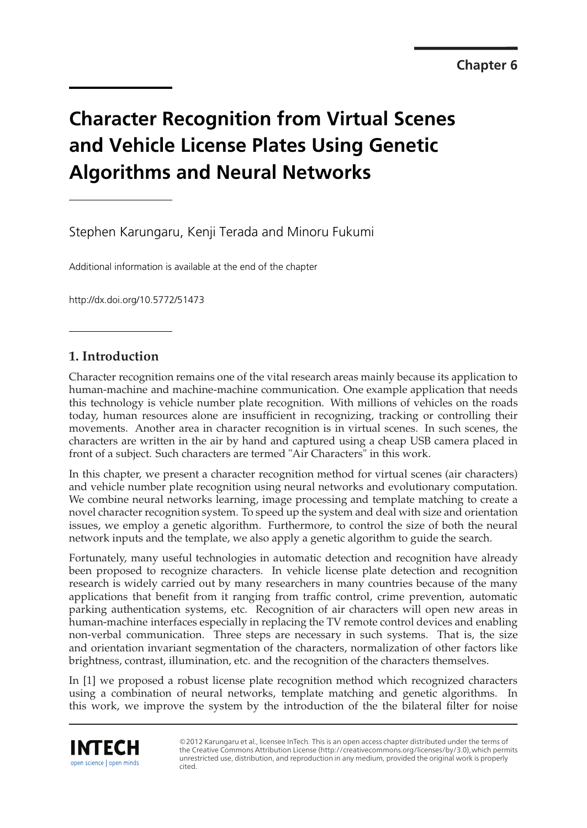# **Character Recognition from Virtual Scenes and Vehicle License Plates Using Genetic Algorithms and Neural Networks**

Stephen Karungaru, Kenji Terada and Minoru Fukumi

Additional information is available at the end of the chapter

http://dx.doi.org/10.5772/51473

# **1. Introduction**

Character recognition remains one of the vital research areas mainly because its application to human-machine and machine-machine communication. One example application that needs this technology is vehicle number plate recognition. With millions of vehicles on the roads today, human resources alone are insufficient in recognizing, tracking or controlling their movements. Another area in character recognition is in virtual scenes. In such scenes, the characters are written in the air by hand and captured using a cheap USB camera placed in front of a subject. Such characters are termed "Air Characters" in this work.

In this chapter, we present a character recognition method for virtual scenes (air characters) and vehicle number plate recognition using neural networks and evolutionary computation. We combine neural networks learning, image processing and template matching to create a novel character recognition system. To speed up the system and deal with size and orientation issues, we employ a genetic algorithm. Furthermore, to control the size of both the neural network inputs and the template, we also apply a genetic algorithm to guide the search.

Fortunately, many useful technologies in automatic detection and recognition have already been proposed to recognize characters. In vehicle license plate detection and recognition research is widely carried out by many researchers in many countries because of the many applications that benefit from it ranging from traffic control, crime prevention, automatic parking authentication systems, etc. Recognition of air characters will open new areas in human-machine interfaces especially in replacing the TV remote control devices and enabling non-verbal communication. Three steps are necessary in such systems. That is, the size and orientation invariant segmentation of the characters, normalization of other factors like brightness, contrast, illumination, etc. and the recognition of the characters themselves.

In [1] we proposed a robust license plate recognition method which recognized characters using a combination of neural networks, template matching and genetic algorithms. In this work, we improve the system by the introduction of the the bilateral filter for noise



©2012 Karungaru et al., licensee InTech. This is an open access chapter distributed under the terms of the Creative Commons Attribution License (http://creativecommons.org/licenses/by/3.0),which permits unrestricted use, distribution, and reproduction in any medium, provided the original work is properly cited.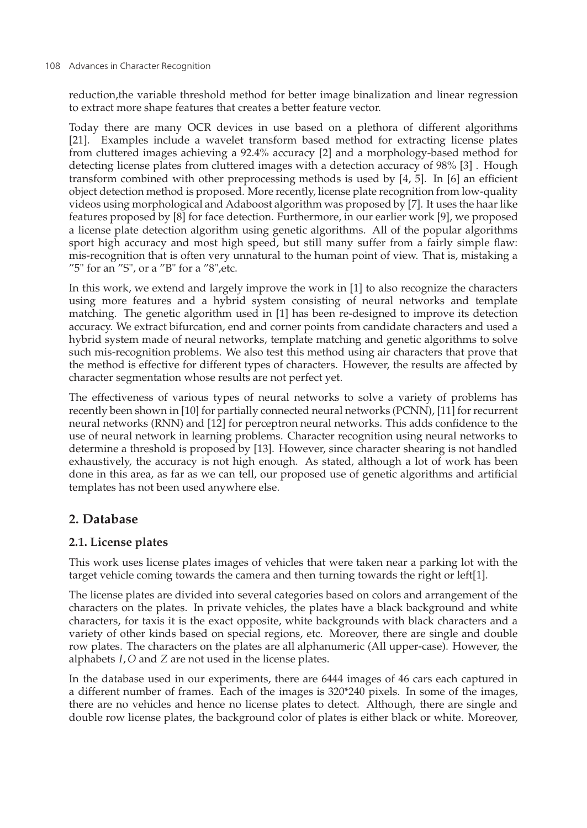#### 108 Advances in Character Recognition and the set-by-IN-TECH state and the set-by-IN-TECH state and the set-of-

reduction,the variable threshold method for better image binalization and linear regression to extract more shape features that creates a better feature vector.

Today there are many OCR devices in use based on a plethora of different algorithms [21]. Examples include a wavelet transform based method for extracting license plates from cluttered images achieving a 92.4% accuracy [2] and a morphology-based method for detecting license plates from cluttered images with a detection accuracy of 98% [3] . Hough transform combined with other preprocessing methods is used by  $[4, 5]$ . In  $[6]$  an efficient object detection method is proposed. More recently, license plate recognition from low-quality videos using morphological and Adaboost algorithm was proposed by [7]. It uses the haar like features proposed by [8] for face detection. Furthermore, in our earlier work [9], we proposed a license plate detection algorithm using genetic algorithms. All of the popular algorithms sport high accuracy and most high speed, but still many suffer from a fairly simple flaw: mis-recognition that is often very unnatural to the human point of view. That is, mistaking a "5" for an "S", or a "B" for a "8",etc.

In this work, we extend and largely improve the work in [1] to also recognize the characters using more features and a hybrid system consisting of neural networks and template matching. The genetic algorithm used in [1] has been re-designed to improve its detection accuracy. We extract bifurcation, end and corner points from candidate characters and used a hybrid system made of neural networks, template matching and genetic algorithms to solve such mis-recognition problems. We also test this method using air characters that prove that the method is effective for different types of characters. However, the results are affected by character segmentation whose results are not perfect yet.

The effectiveness of various types of neural networks to solve a variety of problems has recently been shown in [10] for partially connected neural networks (PCNN), [11] for recurrent neural networks (RNN) and [12] for perceptron neural networks. This adds confidence to the use of neural network in learning problems. Character recognition using neural networks to determine a threshold is proposed by [13]. However, since character shearing is not handled exhaustively, the accuracy is not high enough. As stated, although a lot of work has been done in this area, as far as we can tell, our proposed use of genetic algorithms and artificial templates has not been used anywhere else.

# **2. Database**

# **2.1. License plates**

This work uses license plates images of vehicles that were taken near a parking lot with the target vehicle coming towards the camera and then turning towards the right or left[1].

The license plates are divided into several categories based on colors and arrangement of the characters on the plates. In private vehicles, the plates have a black background and white characters, for taxis it is the exact opposite, white backgrounds with black characters and a variety of other kinds based on special regions, etc. Moreover, there are single and double row plates. The characters on the plates are all alphanumeric (All upper-case). However, the alphabets *I*,*O* and *Z* are not used in the license plates.

In the database used in our experiments, there are 6444 images of 46 cars each captured in a different number of frames. Each of the images is 320\*240 pixels. In some of the images, there are no vehicles and hence no license plates to detect. Although, there are single and double row license plates, the background color of plates is either black or white. Moreover,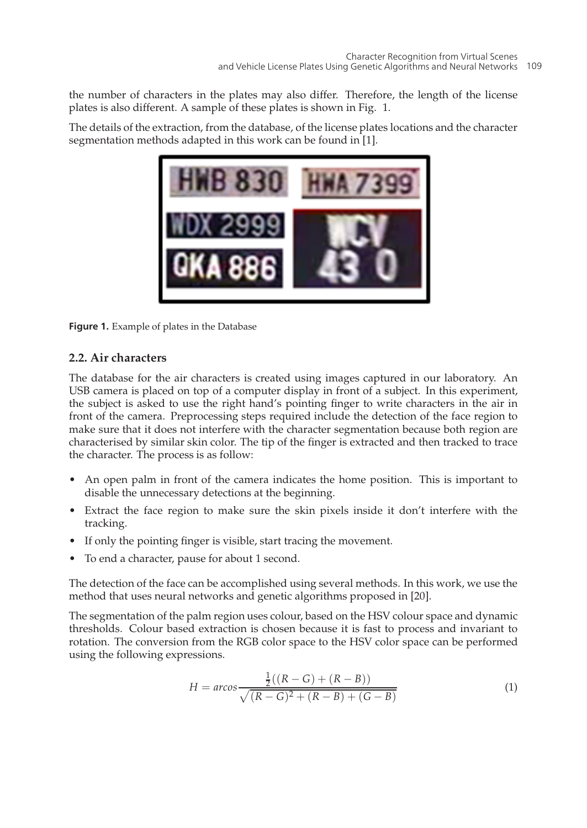the number of characters in the plates may also differ. Therefore, the length of the license plates is also different. A sample of these plates is shown in Fig. 1.

The details of the extraction, from the database, of the license plates locations and the character segmentation methods adapted in this work can be found in [1].



**Figure 1.** Example of plates in the Database

## **2.2. Air characters**

The database for the air characters is created using images captured in our laboratory. An USB camera is placed on top of a computer display in front of a subject. In this experiment, the subject is asked to use the right hand's pointing finger to write characters in the air in front of the camera. Preprocessing steps required include the detection of the face region to make sure that it does not interfere with the character segmentation because both region are characterised by similar skin color. The tip of the finger is extracted and then tracked to trace the character. The process is as follow:

- An open palm in front of the camera indicates the home position. This is important to disable the unnecessary detections at the beginning.
- Extract the face region to make sure the skin pixels inside it don't interfere with the tracking.
- If only the pointing finger is visible, start tracing the movement.
- To end a character, pause for about 1 second.

The detection of the face can be accomplished using several methods. In this work, we use the method that uses neural networks and genetic algorithms proposed in [20].

The segmentation of the palm region uses colour, based on the HSV colour space and dynamic thresholds. Colour based extraction is chosen because it is fast to process and invariant to rotation. The conversion from the RGB color space to the HSV color space can be performed using the following expressions.

$$
H = \arccos \frac{\frac{1}{2}((R - G) + (R - B))}{\sqrt{(R - G)^2 + (R - B) + (G - B)}}
$$
(1)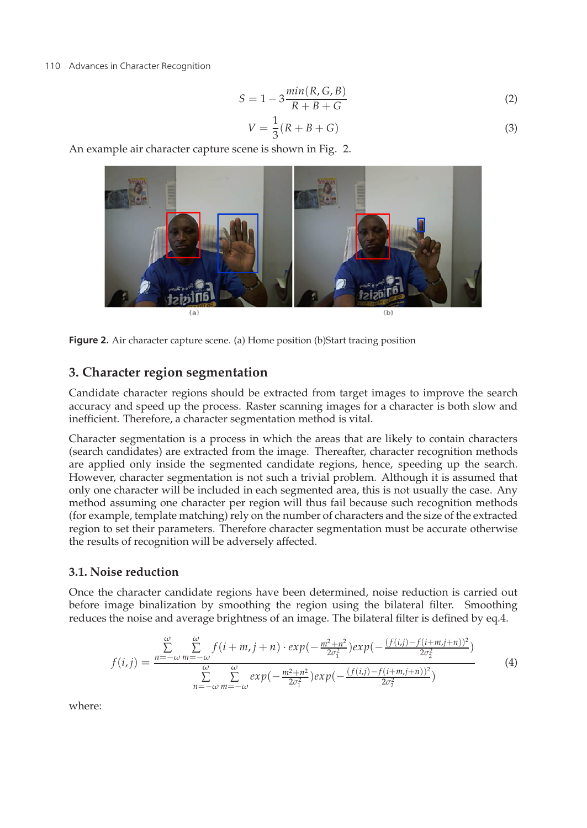#### 110 Advances in Character Recognition and the set-by-IN-TECH states in the set-of-

$$
S = 1 - 3\frac{\min(R, G, B)}{R + B + G}
$$
\n<sup>(2)</sup>

$$
V = \frac{1}{3}(R + B + G)
$$
 (3)

An example air character capture scene is shown in Fig. 2.



**Figure 2.** Air character capture scene. (a) Home position (b)Start tracing position

## **3. Character region segmentation**

Candidate character regions should be extracted from target images to improve the search accuracy and speed up the process. Raster scanning images for a character is both slow and inefficient. Therefore, a character segmentation method is vital.

Character segmentation is a process in which the areas that are likely to contain characters (search candidates) are extracted from the image. Thereafter, character recognition methods are applied only inside the segmented candidate regions, hence, speeding up the search. However, character segmentation is not such a trivial problem. Although it is assumed that only one character will be included in each segmented area, this is not usually the case. Any method assuming one character per region will thus fail because such recognition methods (for example, template matching) rely on the number of characters and the size of the extracted region to set their parameters. Therefore character segmentation must be accurate otherwise the results of recognition will be adversely affected.

#### **3.1. Noise reduction**

Once the character candidate regions have been determined, noise reduction is carried out before image binalization by smoothing the region using the bilateral filter. Smoothing reduces the noise and average brightness of an image. The bilateral filter is defined by eq.4.

$$
f(i,j) = \frac{\sum_{n=-\omega}^{\omega} \sum_{m=-\omega}^{\omega} f(i+m, j+n) \cdot exp(-\frac{m^2 + n^2}{2\sigma_1^2}) exp(-\frac{(f(i,j) - f(i+m, j+n))^2}{2\sigma_2^2})}{\sum_{n=-\omega}^{\omega} \sum_{m=-\omega}^{\omega} exp(-\frac{m^2 + n^2}{2\sigma_1^2}) exp(-\frac{(f(i,j) - f(i+m, j+n))^2}{2\sigma_2^2})}
$$
(4)

where: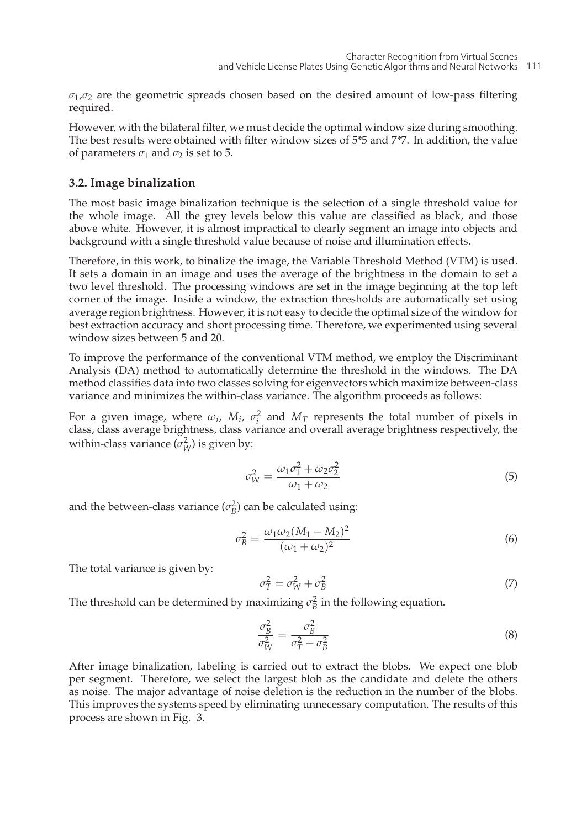$\sigma_1$ , $\sigma_2$  are the geometric spreads chosen based on the desired amount of low-pass filtering required.

However, with the bilateral filter, we must decide the optimal window size during smoothing. The best results were obtained with filter window sizes of 5\*5 and 7\*7. In addition, the value of parameters  $\sigma_1$  and  $\sigma_2$  is set to 5.

## **3.2. Image binalization**

The most basic image binalization technique is the selection of a single threshold value for the whole image. All the grey levels below this value are classified as black, and those above white. However, it is almost impractical to clearly segment an image into objects and background with a single threshold value because of noise and illumination effects.

Therefore, in this work, to binalize the image, the Variable Threshold Method (VTM) is used. It sets a domain in an image and uses the average of the brightness in the domain to set a two level threshold. The processing windows are set in the image beginning at the top left corner of the image. Inside a window, the extraction thresholds are automatically set using average region brightness. However, it is not easy to decide the optimal size of the window for best extraction accuracy and short processing time. Therefore, we experimented using several window sizes between 5 and 20.

To improve the performance of the conventional VTM method, we employ the Discriminant Analysis (DA) method to automatically determine the threshold in the windows. The DA method classifies data into two classes solving for eigenvectors which maximize between-class variance and minimizes the within-class variance. The algorithm proceeds as follows:

For a given image, where  $\omega_i$ ,  $M_i$ ,  $\sigma_i^2$  and  $M_T$  represents the total number of pixels in class, class average brightness, class variance and overall average brightness respectively, the within-class variance  $(\sigma_W^2)$  is given by:

$$
\sigma_W^2 = \frac{\omega_1 \sigma_1^2 + \omega_2 \sigma_2^2}{\omega_1 + \omega_2} \tag{5}
$$

and the between-class variance  $(\sigma_B^2)$  can be calculated using:

$$
\sigma_B^2 = \frac{\omega_1 \omega_2 (M_1 - M_2)^2}{(\omega_1 + \omega_2)^2} \tag{6}
$$

The total variance is given by:

$$
\sigma_T^2 = \sigma_W^2 + \sigma_B^2 \tag{7}
$$

The threshold can be determined by maximizing  $\sigma_B^2$  in the following equation.

$$
\frac{\sigma_B^2}{\sigma_W^2} = \frac{\sigma_B^2}{\sigma_T^2 - \sigma_B^2}
$$
\n(8)

After image binalization, labeling is carried out to extract the blobs. We expect one blob per segment. Therefore, we select the largest blob as the candidate and delete the others as noise. The major advantage of noise deletion is the reduction in the number of the blobs. This improves the systems speed by eliminating unnecessary computation. The results of this process are shown in Fig. 3.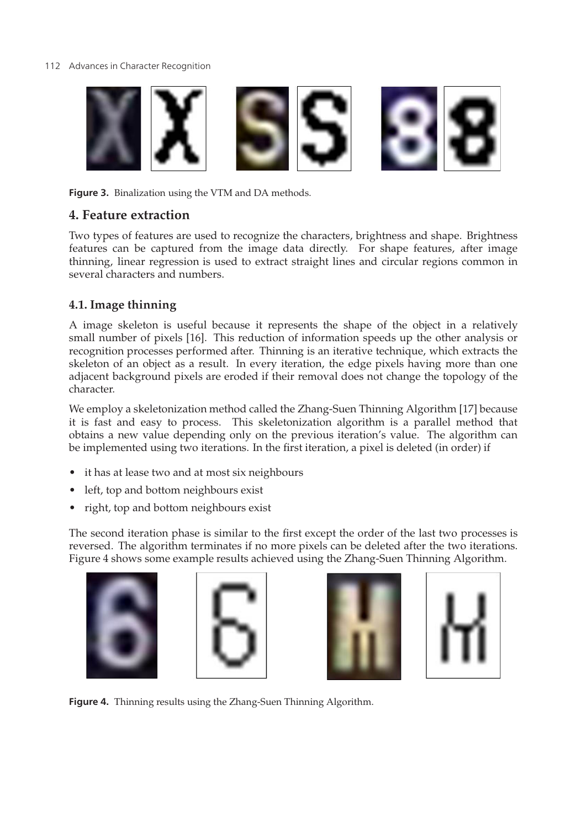#### 112 Advances in Character Recognition and the set-by-IN-TECH and the set-by-IN-TECH and the set-by-IN-TECH and the set-



**Figure 3.** Binalization using the VTM and DA methods.

# **4. Feature extraction**

Two types of features are used to recognize the characters, brightness and shape. Brightness features can be captured from the image data directly. For shape features, after image thinning, linear regression is used to extract straight lines and circular regions common in several characters and numbers.

# **4.1. Image thinning**

A image skeleton is useful because it represents the shape of the object in a relatively small number of pixels [16]. This reduction of information speeds up the other analysis or recognition processes performed after. Thinning is an iterative technique, which extracts the skeleton of an object as a result. In every iteration, the edge pixels having more than one adjacent background pixels are eroded if their removal does not change the topology of the character.

We employ a skeletonization method called the Zhang-Suen Thinning Algorithm [17] because it is fast and easy to process. This skeletonization algorithm is a parallel method that obtains a new value depending only on the previous iteration's value. The algorithm can be implemented using two iterations. In the first iteration, a pixel is deleted (in order) if

- it has at lease two and at most six neighbours
- left, top and bottom neighbours exist
- right, top and bottom neighbours exist

The second iteration phase is similar to the first except the order of the last two processes is reversed. The algorithm terminates if no more pixels can be deleted after the two iterations. Figure 4 shows some example results achieved using the Zhang-Suen Thinning Algorithm.









**Figure 4.** Thinning results using the Zhang-Suen Thinning Algorithm.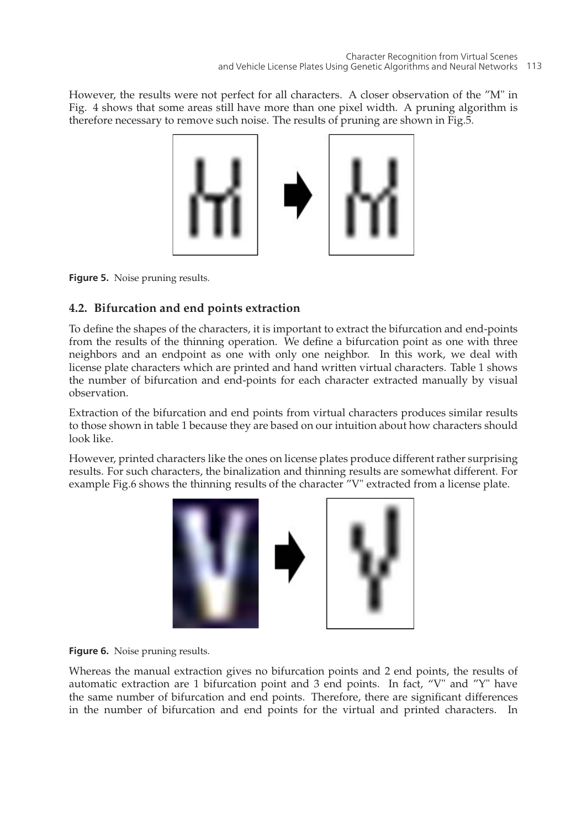However, the results were not perfect for all characters. A closer observation of the "M" in Fig. 4 shows that some areas still have more than one pixel width. A pruning algorithm is therefore necessary to remove such noise. The results of pruning are shown in Fig.5.



**Figure 5.** Noise pruning results.

# **4.2. Bifurcation and end points extraction**

To define the shapes of the characters, it is important to extract the bifurcation and end-points from the results of the thinning operation. We define a bifurcation point as one with three neighbors and an endpoint as one with only one neighbor. In this work, we deal with license plate characters which are printed and hand written virtual characters. Table 1 shows the number of bifurcation and end-points for each character extracted manually by visual observation.

Extraction of the bifurcation and end points from virtual characters produces similar results to those shown in table 1 because they are based on our intuition about how characters should look like.

However, printed characters like the ones on license plates produce different rather surprising results. For such characters, the binalization and thinning results are somewhat different. For example Fig.6 shows the thinning results of the character "V" extracted from a license plate.





Whereas the manual extraction gives no bifurcation points and 2 end points, the results of automatic extraction are 1 bifurcation point and 3 end points. In fact, "V" and "Y" have the same number of bifurcation and end points. Therefore, there are significant differences in the number of bifurcation and end points for the virtual and printed characters. In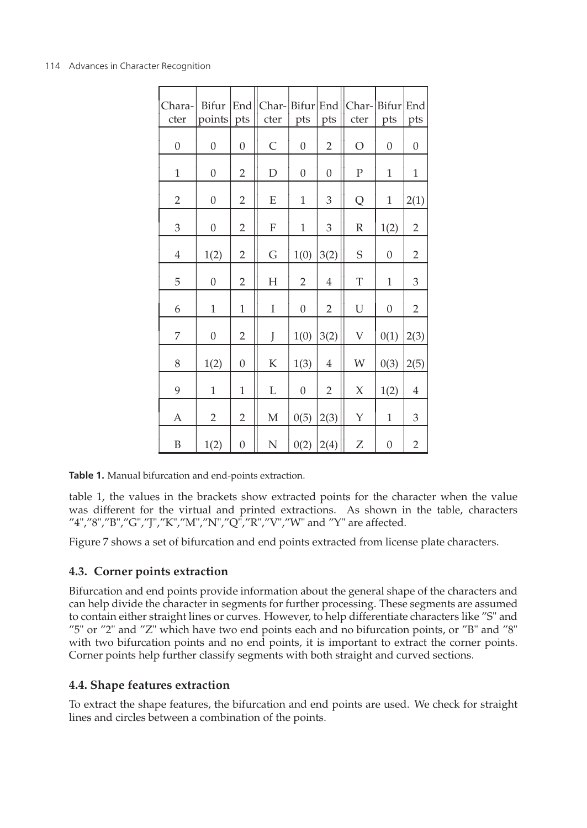#### 114 Advances in Character Recognition and the set-by-IN-TECH and the control of the set-

| Chara-<br>cter   | Bifur<br>points  | End<br>pts       | cter         | pts              | pts              | Char-Bifur End Char-Bifur End<br>cter | pts            | pts            |
|------------------|------------------|------------------|--------------|------------------|------------------|---------------------------------------|----------------|----------------|
| $\boldsymbol{0}$ | $\boldsymbol{0}$ | $\overline{0}$   | $\mathsf{C}$ | $\overline{0}$   | $\overline{2}$   | $\circ$                               | $\overline{0}$ | $\overline{0}$ |
| $\mathbf 1$      | $\boldsymbol{0}$ | $\overline{2}$   | $\mathbf D$  | $\boldsymbol{0}$ | $\boldsymbol{0}$ | ${\bf P}$                             | 1              | $\mathbf 1$    |
| $\overline{2}$   | $\mathbf{0}$     | $\overline{2}$   | E            | 1                | 3                | Q                                     | $\mathbf{1}$   | 2(1)           |
| 3                | $\boldsymbol{0}$ | $\overline{2}$   | F            | $\mathbf 1$      | 3                | $\mathbb R$                           | 1(2)           | $\sqrt{2}$     |
| $\overline{4}$   | 1(2)             | $\overline{2}$   | G            | 1(0)             | 3(2)             | S                                     | $\overline{0}$ | $\overline{2}$ |
| 5                | $\boldsymbol{0}$ | $\overline{2}$   | $H_{\rm}$    | $\overline{2}$   | $\overline{4}$   | $\mathbf T$                           | $\mathbf 1$    | 3              |
| 6                | $\mathbf{1}$     | $\mathbf{1}$     | I            | $\boldsymbol{0}$ | $\overline{2}$   | U                                     | $\mathbf{0}$   | $\overline{2}$ |
| 7                | $\boldsymbol{0}$ | $\overline{2}$   | J            | 1(0)             | 3(2)             | $\ensuremath{\mathsf{V}}$             | 0(1)           | 2(3)           |
| 8                | 1(2)             | $\boldsymbol{0}$ | K            | 1(3)             | $\overline{4}$   | W                                     | 0(3)           | 2(5)           |
| 9                | $\mathbf 1$      | $\mathbf 1$      | L            | $\boldsymbol{0}$ | $\overline{c}$   | $\chi$                                | 1(2)           | $\overline{4}$ |
| А                | $\overline{2}$   | $\overline{2}$   | M            | 0(5)             | 2(3)             | Y                                     | $\mathbf{1}$   | 3              |
| B                | 1(2)             | $\mathbf{0}$     | N            | 0(2)             | 2(4)             | Ζ                                     | $\mathbf{0}$   | $\overline{2}$ |

**Table 1.** Manual bifurcation and end-points extraction.

table 1, the values in the brackets show extracted points for the character when the value was different for the virtual and printed extractions. As shown in the table, characters "4","8","B","G","J","K","M","N","Q","R","V","W" and "Y" are affected.

Figure 7 shows a set of bifurcation and end points extracted from license plate characters.

## **4.3. Corner points extraction**

Bifurcation and end points provide information about the general shape of the characters and can help divide the character in segments for further processing. These segments are assumed to contain either straight lines or curves. However, to help differentiate characters like "S" and "5" or "2" and "Z" which have two end points each and no bifurcation points, or "B" and "8" with two bifurcation points and no end points, it is important to extract the corner points. Corner points help further classify segments with both straight and curved sections.

## **4.4. Shape features extraction**

To extract the shape features, the bifurcation and end points are used. We check for straight lines and circles between a combination of the points.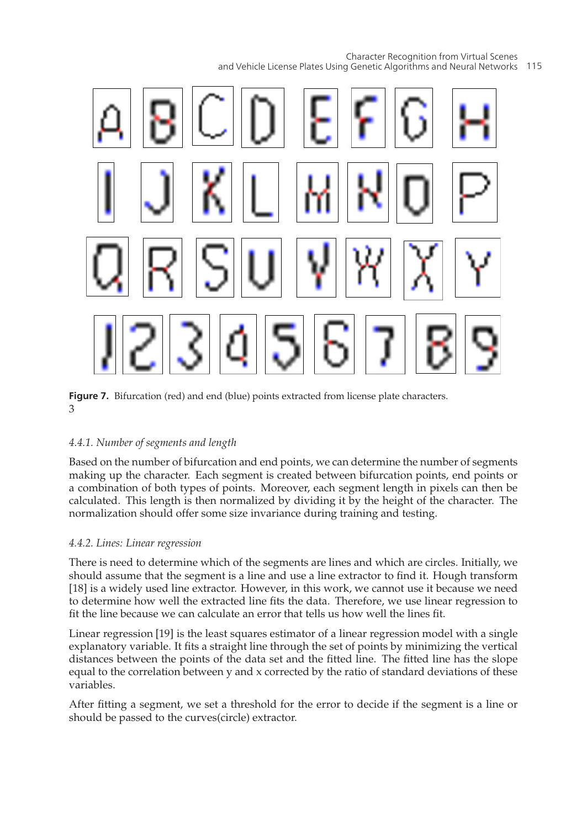and Vehicle License Plates Using Genetic Algorithms and Neural Networks 115 Character Recognition from Virtual Scenes



Figure 7. Bifurcation (red) and end (blue) points extracted from license plate characters. 3

#### *4.4.1. Number of segments and length*

Based on the number of bifurcation and end points, we can determine the number of segments making up the character. Each segment is created between bifurcation points, end points or a combination of both types of points. Moreover, each segment length in pixels can then be calculated. This length is then normalized by dividing it by the height of the character. The normalization should offer some size invariance during training and testing.

#### *4.4.2. Lines: Linear regression*

There is need to determine which of the segments are lines and which are circles. Initially, we should assume that the segment is a line and use a line extractor to find it. Hough transform [18] is a widely used line extractor. However, in this work, we cannot use it because we need to determine how well the extracted line fits the data. Therefore, we use linear regression to fit the line because we can calculate an error that tells us how well the lines fit.

Linear regression [19] is the least squares estimator of a linear regression model with a single explanatory variable. It fits a straight line through the set of points by minimizing the vertical distances between the points of the data set and the fitted line. The fitted line has the slope equal to the correlation between y and x corrected by the ratio of standard deviations of these variables.

After fitting a segment, we set a threshold for the error to decide if the segment is a line or should be passed to the curves(circle) extractor.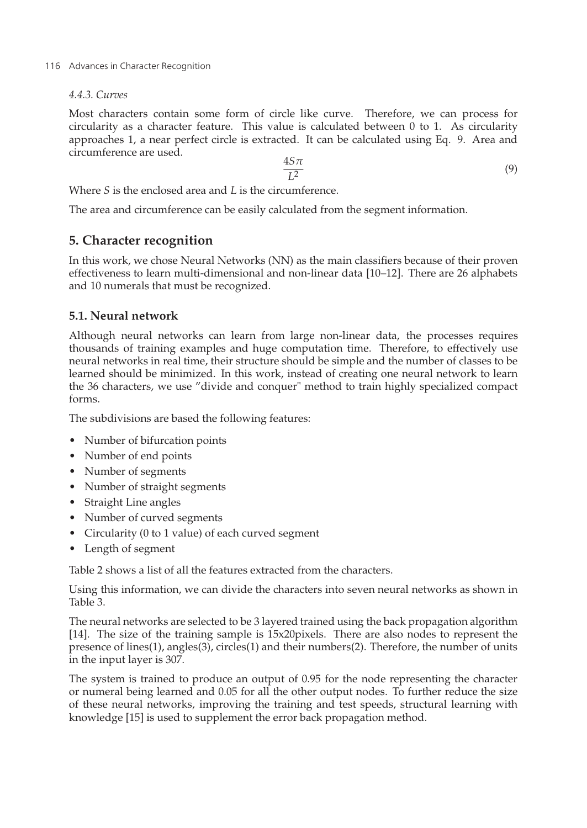#### 116 Advances in Character Recognition and the set-by-IN-TECH properties are set-

*4.4.3. Curves*

Most characters contain some form of circle like curve. Therefore, we can process for circularity as a character feature. This value is calculated between 0 to 1. As circularity approaches 1, a near perfect circle is extracted. It can be calculated using Eq. 9. Area and circumference are used.

$$
\frac{4S\pi}{L^2} \tag{9}
$$

Where *S* is the enclosed area and *L* is the circumference.

The area and circumference can be easily calculated from the segment information.

# **5. Character recognition**

In this work, we chose Neural Networks (NN) as the main classifiers because of their proven effectiveness to learn multi-dimensional and non-linear data [10–12]. There are 26 alphabets and 10 numerals that must be recognized.

# **5.1. Neural network**

Although neural networks can learn from large non-linear data, the processes requires thousands of training examples and huge computation time. Therefore, to effectively use neural networks in real time, their structure should be simple and the number of classes to be learned should be minimized. In this work, instead of creating one neural network to learn the 36 characters, we use "divide and conquer" method to train highly specialized compact forms.

The subdivisions are based the following features:

- Number of bifurcation points
- Number of end points
- Number of segments
- Number of straight segments
- Straight Line angles
- Number of curved segments
- Circularity (0 to 1 value) of each curved segment
- Length of segment

Table 2 shows a list of all the features extracted from the characters.

Using this information, we can divide the characters into seven neural networks as shown in Table 3.

The neural networks are selected to be 3 layered trained using the back propagation algorithm [14]. The size of the training sample is 15x20pixels. There are also nodes to represent the presence of lines(1), angles(3), circles(1) and their numbers(2). Therefore, the number of units in the input layer is 307.

The system is trained to produce an output of 0.95 for the node representing the character or numeral being learned and 0.05 for all the other output nodes. To further reduce the size of these neural networks, improving the training and test speeds, structural learning with knowledge [15] is used to supplement the error back propagation method.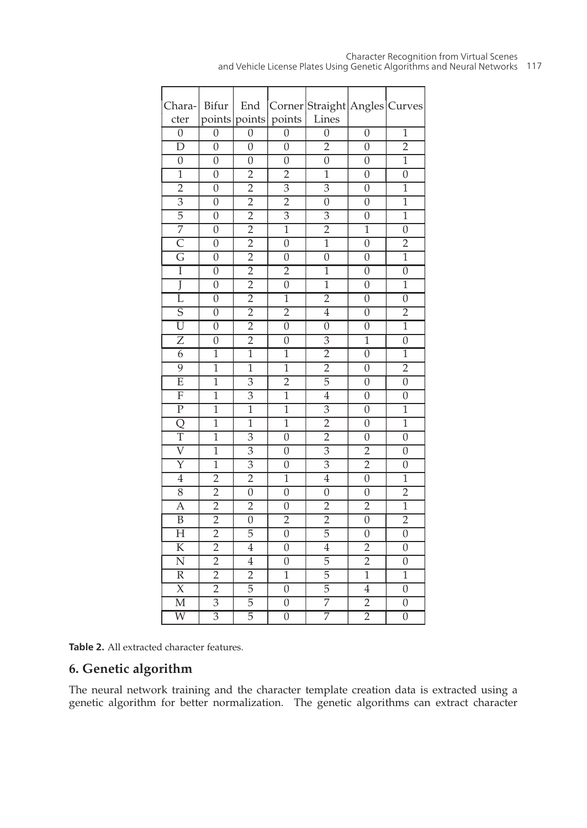| Chara-l                 | Bifur                     | End            |                      | Corner Straight Angles Curves |                |                  |
|-------------------------|---------------------------|----------------|----------------------|-------------------------------|----------------|------------------|
| cter                    |                           |                | points points points | Lines                         |                |                  |
| $\overline{0}$          | 0                         | 0              | $\overline{0}$       | $\mathbf{0}$                  | $\mathbf{0}$   | 1                |
| D                       | $\overline{0}$            | $\overline{0}$ | $\overline{0}$       | $\overline{2}$                | $\overline{0}$ | $\overline{2}$   |
| $\mathbf{0}$            | $\overline{0}$            | $\overline{0}$ | $\overline{0}$       | $\overline{0}$                | $\overline{0}$ | 1                |
| 1                       | $\Omega$                  | $\overline{2}$ | $\overline{2}$       | $\overline{1}$                | $\Omega$       | $\Omega$         |
| $\overline{2}$          | $\overline{0}$            | $\overline{2}$ | $\overline{3}$       | $\overline{3}$                | $\overline{0}$ | $\overline{1}$   |
| $\overline{3}$          | $\overline{0}$            | $\overline{2}$ | $\overline{2}$       | $\overline{0}$                | $\overline{0}$ | $\overline{1}$   |
| 5                       | $\overline{0}$            | $\overline{2}$ | 3                    | 3                             | $\overline{0}$ | 1                |
| 7                       | $\Omega$                  | $\overline{2}$ | 1                    | $\overline{2}$                | 1              | $\Omega$         |
| $\overline{\mathsf{C}}$ | $\overline{0}$            | $\overline{2}$ | $\overline{0}$       | $\overline{1}$                | $\overline{0}$ | $\overline{2}$   |
| G                       | $\overline{0}$            | $\overline{2}$ | $\Omega$             | $\overline{0}$                | $\Omega$       | 1                |
| Ī                       | $\overline{0}$            | $\overline{2}$ | $\overline{2}$       | 1                             | $\overline{0}$ | $\overline{0}$   |
| Ĵ                       | $\overline{0}$            | $\overline{2}$ | $\overline{0}$       | 1                             | $\overline{0}$ | 1                |
| L                       | $\overline{0}$            | $\overline{2}$ | 1                    | $\overline{2}$                | $\mathbf{0}$   | $\overline{0}$   |
| S                       | $\Omega$                  | $\overline{2}$ | $\overline{2}$       | $\overline{4}$                | $\Omega$       | $\overline{2}$   |
| Ū                       | 0                         | $\overline{2}$ | $\overline{0}$       | $\overline{0}$                | $\overline{0}$ | 1                |
| Z                       | $\overline{0}$            | $\overline{2}$ | $\overline{0}$       | $\overline{3}$                | 1              | $\overline{0}$   |
| 6                       | 1                         | 1              | $\overline{1}$       | $\overline{2}$                | $\overline{0}$ | 1                |
| $\overline{9}$          | 1                         | $\overline{1}$ | $\overline{1}$       | $\overline{2}$                | $\overline{0}$ | $\overline{2}$   |
| Ē                       | 1                         | 3              | $\overline{2}$       | 5                             | $\overline{0}$ | $\overline{0}$   |
| $\overline{\mathrm{F}}$ | 1                         | 3              | $\overline{1}$       | $\overline{4}$                | $\Omega$       | $\Omega$         |
| $\overline{\mathrm{P}}$ | 1                         | $\overline{1}$ | $\overline{1}$       | 3                             | $\overline{0}$ | 1                |
| O                       | 1                         | $\overline{1}$ | $\overline{1}$       | $\overline{2}$                | $\overline{0}$ | 1                |
| T                       | 1                         | $\overline{3}$ | $\overline{0}$       | $\overline{2}$                | $\overline{0}$ | $\overline{0}$   |
| $\overline{\rm v}$      | 1                         | $\overline{3}$ | $\overline{0}$       | $\overline{3}$                | $\overline{2}$ | $\overline{0}$   |
| Y                       | 1                         | $\overline{3}$ | $\overline{0}$       | $\overline{\overline{3}}$     | $\overline{2}$ | $\overline{0}$   |
| $\overline{4}$          | $\overline{2}$            | $\overline{2}$ | $\overline{1}$       | $\overline{4}$                | $\overline{0}$ | $\overline{1}$   |
| 8                       | $\overline{2}$            | $\overline{0}$ | $\Omega$             | $\overline{0}$                | $\overline{0}$ | $\overline{2}$   |
| A                       | $\overline{2}$            | $\overline{2}$ | $\overline{0}$       | $\overline{2}$                | $\overline{2}$ | 1                |
| $\overline{B}$          | $\overline{2}$            | $\overline{0}$ | $\overline{2}$       | $\overline{2}$                | $\overline{0}$ | $\overline{2}$   |
| $\overline{\rm H}$      | $\overline{2}$            | 5              | $\overline{0}$       | 5                             | $\overline{0}$ | $\overline{0}$   |
| K                       | $\overline{2}$            | $\overline{4}$ | $\overline{0}$       | $\overline{4}$                | $\overline{2}$ | $\overline{0}$   |
| $\overline{\rm N}$      | $\overline{2}$            | $\overline{4}$ | $\mathbf{0}$         | $\overline{5}$                | $\overline{2}$ | $\boldsymbol{0}$ |
| $\overline{\mathrm{R}}$ | $\overline{2}$            | $\overline{2}$ | $\overline{1}$       | 5                             | 1              | $\overline{1}$   |
| $\overline{\chi}$       | $\overline{2}$            | 5              | $\overline{0}$       | 5                             | $\overline{4}$ | $\overline{0}$   |
| М                       | $\overline{\overline{3}}$ | $\overline{5}$ | $\overline{0}$       | 7                             | $\overline{2}$ | $\overline{0}$   |
| $\overline{\mathsf{W}}$ | 3                         | 5              | $\overline{0}$       | 7                             | $\overline{2}$ | $\boldsymbol{0}$ |

Character Recognition from Virtual Scenes and Vehicle License Plates using Genetic Algorithms and Neural Networks 11 117 Character Recognition from Virtual Scenes and Vehicle License Plates Using Genetic Algorithms and Neural Networks

**Table 2.** All extracted character features.

# **6. Genetic algorithm**

The neural network training and the character template creation data is extracted using a genetic algorithm for better normalization. The genetic algorithms can extract character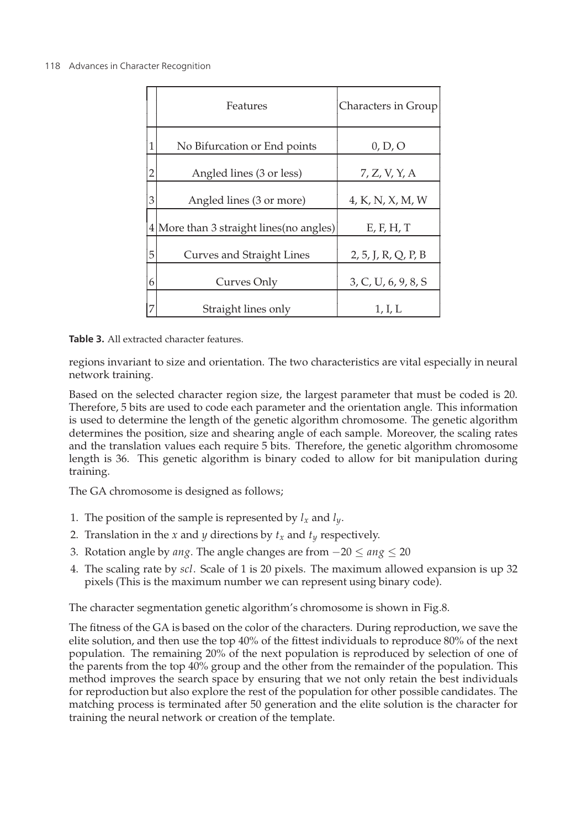|   | Features                                 | Characters in Group |
|---|------------------------------------------|---------------------|
| 1 | No Bifurcation or End points             | 0, D, O             |
|   | Angled lines (3 or less)                 | 7, Z, V, Y, A       |
| 3 | Angled lines (3 or more)                 | 4, K, N, X, M, W    |
|   | 4 More than 3 straight lines (no angles) | E, F, H, T          |
| 5 | <b>Curves and Straight Lines</b>         | 2, 5, J, R, Q, P, B |
| 6 | Curves Only                              | 3, C, U, 6, 9, 8, S |
|   | Straight lines only                      | 1, I, L             |

**Table 3.** All extracted character features.

regions invariant to size and orientation. The two characteristics are vital especially in neural network training.

Based on the selected character region size, the largest parameter that must be coded is 20. Therefore, 5 bits are used to code each parameter and the orientation angle. This information is used to determine the length of the genetic algorithm chromosome. The genetic algorithm determines the position, size and shearing angle of each sample. Moreover, the scaling rates and the translation values each require 5 bits. Therefore, the genetic algorithm chromosome length is 36. This genetic algorithm is binary coded to allow for bit manipulation during training.

The GA chromosome is designed as follows;

- 1. The position of the sample is represented by  $l_x$  and  $l_y$ .
- 2. Translation in the *x* and *y* directions by  $t_x$  and  $t_y$  respectively.
- 3. Rotation angle by *ang*. The angle changes are from −20 ≤ *ang* ≤ 20
- 4. The scaling rate by *scl*. Scale of 1 is 20 pixels. The maximum allowed expansion is up 32 pixels (This is the maximum number we can represent using binary code).

The character segmentation genetic algorithm's chromosome is shown in Fig.8.

The fitness of the GA is based on the color of the characters. During reproduction, we save the elite solution, and then use the top 40% of the fittest individuals to reproduce 80% of the next population. The remaining 20% of the next population is reproduced by selection of one of the parents from the top 40% group and the other from the remainder of the population. This method improves the search space by ensuring that we not only retain the best individuals for reproduction but also explore the rest of the population for other possible candidates. The matching process is terminated after 50 generation and the elite solution is the character for training the neural network or creation of the template.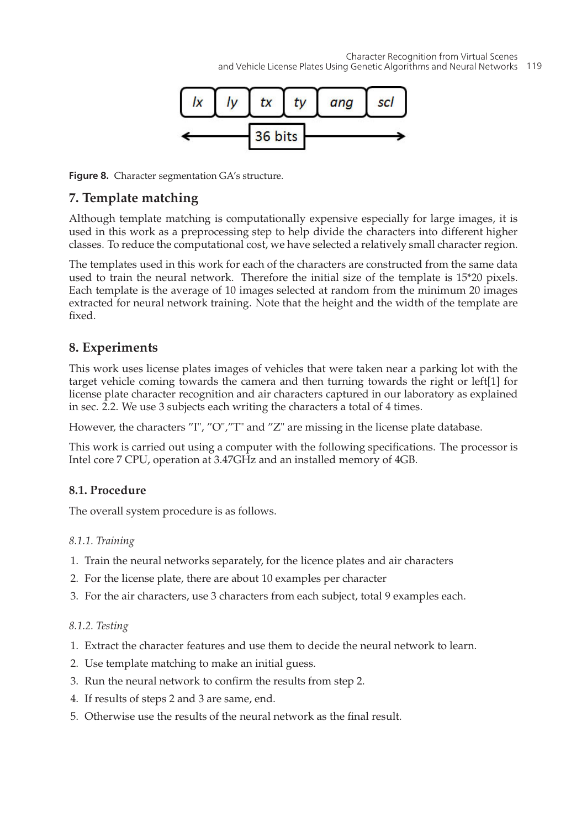and Vehicle License Plates Using Genetic Algorithms and Neural Networks 119 Character Recognition from Virtual Scenes



Figure 8. Character segmentation GA's structure.

# **7. Template matching**

Although template matching is computationally expensive especially for large images, it is used in this work as a preprocessing step to help divide the characters into different higher classes. To reduce the computational cost, we have selected a relatively small character region.

The templates used in this work for each of the characters are constructed from the same data used to train the neural network. Therefore the initial size of the template is 15\*20 pixels. Each template is the average of 10 images selected at random from the minimum 20 images extracted for neural network training. Note that the height and the width of the template are fixed.

## **8. Experiments**

This work uses license plates images of vehicles that were taken near a parking lot with the target vehicle coming towards the camera and then turning towards the right or left[1] for license plate character recognition and air characters captured in our laboratory as explained in sec. 2.2. We use 3 subjects each writing the characters a total of 4 times.

However, the characters "I", "O","T" and "Z" are missing in the license plate database.

This work is carried out using a computer with the following specifications. The processor is Intel core 7 CPU, operation at 3.47GHz and an installed memory of 4GB.

#### **8.1. Procedure**

The overall system procedure is as follows.

#### *8.1.1. Training*

- 1. Train the neural networks separately, for the licence plates and air characters
- 2. For the license plate, there are about 10 examples per character
- 3. For the air characters, use 3 characters from each subject, total 9 examples each.

#### *8.1.2. Testing*

- 1. Extract the character features and use them to decide the neural network to learn.
- 2. Use template matching to make an initial guess.
- 3. Run the neural network to confirm the results from step 2.
- 4. If results of steps 2 and 3 are same, end.
- 5. Otherwise use the results of the neural network as the final result.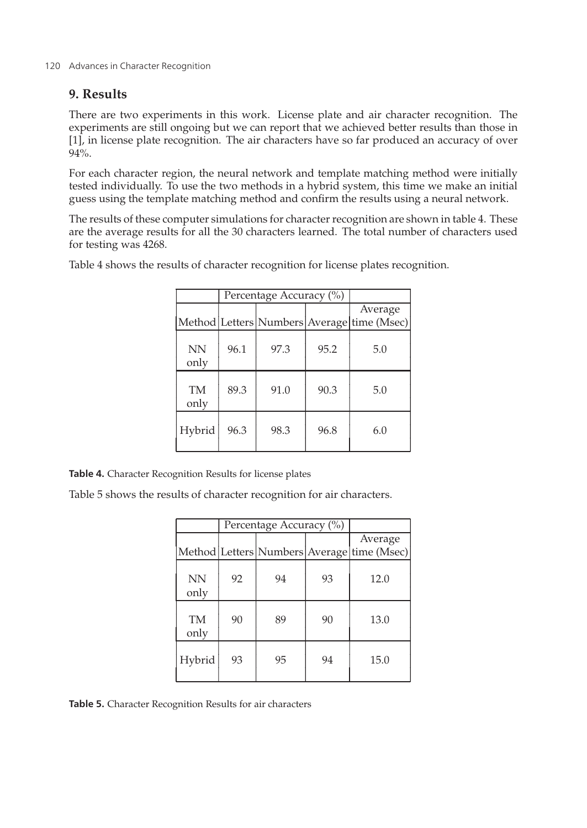# **9. Results**

There are two experiments in this work. License plate and air character recognition. The experiments are still ongoing but we can report that we achieved better results than those in  $[1]$ , in license plate recognition. The air characters have so far produced an accuracy of over 94%.

For each character region, the neural network and template matching method were initially tested individually. To use the two methods in a hybrid system, this time we make an initial guess using the template matching method and confirm the results using a neural network.

The results of these computer simulations for character recognition are shown in table 4. These are the average results for all the 30 characters learned. The total number of characters used for testing was 4268.

|                   | Percentage Accuracy (%) |      |      |                                                       |
|-------------------|-------------------------|------|------|-------------------------------------------------------|
|                   |                         |      |      | Average<br>Method Letters Numbers Average time (Msec) |
| <b>NN</b><br>only | 96.1                    | 97.3 | 95.2 | 5.0                                                   |
| <b>TM</b><br>only | 89.3                    | 91.0 | 90.3 | 5.0                                                   |
| Hybrid            | 96.3                    | 98.3 | 96.8 | 6.0                                                   |

Table 4 shows the results of character recognition for license plates recognition.

**Table 4.** Character Recognition Results for license plates

Table 5 shows the results of character recognition for air characters.

|                   |    | Percentage Accuracy (%) |    |                                                       |
|-------------------|----|-------------------------|----|-------------------------------------------------------|
|                   |    |                         |    | Average<br>Method Letters Numbers Average time (Msec) |
| <b>NN</b><br>only | 92 | 94                      | 93 | 12.0                                                  |
| <b>TM</b><br>only | 90 | 89                      | 90 | 13.0                                                  |
| Hybrid            | 93 | 95                      | 94 | 15.0                                                  |

**Table 5.** Character Recognition Results for air characters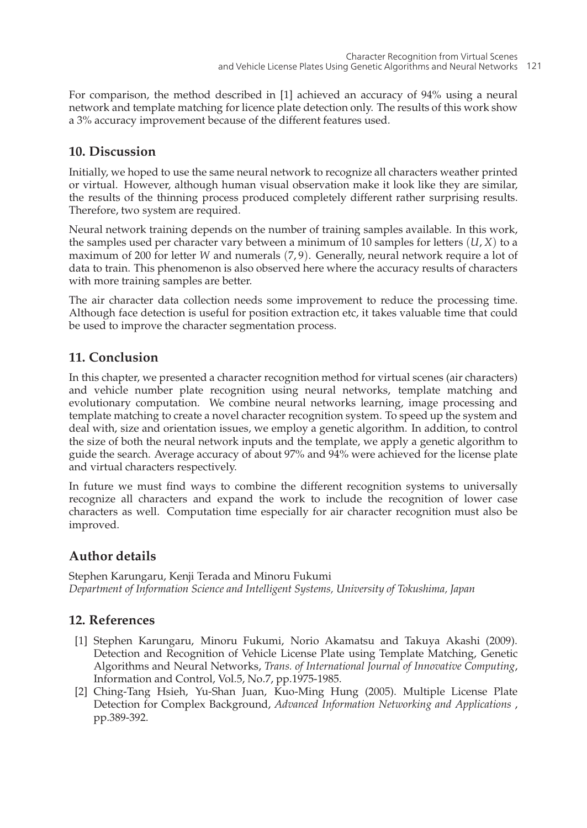For comparison, the method described in [1] achieved an accuracy of 94% using a neural network and template matching for licence plate detection only. The results of this work show a 3% accuracy improvement because of the different features used.

# **10. Discussion**

Initially, we hoped to use the same neural network to recognize all characters weather printed or virtual. However, although human visual observation make it look like they are similar, the results of the thinning process produced completely different rather surprising results. Therefore, two system are required.

Neural network training depends on the number of training samples available. In this work, the samples used per character vary between a minimum of 10 samples for letters (*U*, *X*) to a maximum of 200 for letter *W* and numerals (7,9). Generally, neural network require a lot of data to train. This phenomenon is also observed here where the accuracy results of characters with more training samples are better.

The air character data collection needs some improvement to reduce the processing time. Although face detection is useful for position extraction etc, it takes valuable time that could be used to improve the character segmentation process.

# **11. Conclusion**

In this chapter, we presented a character recognition method for virtual scenes (air characters) and vehicle number plate recognition using neural networks, template matching and evolutionary computation. We combine neural networks learning, image processing and template matching to create a novel character recognition system. To speed up the system and deal with, size and orientation issues, we employ a genetic algorithm. In addition, to control the size of both the neural network inputs and the template, we apply a genetic algorithm to guide the search. Average accuracy of about 97% and 94% were achieved for the license plate and virtual characters respectively.

In future we must find ways to combine the different recognition systems to universally recognize all characters and expand the work to include the recognition of lower case characters as well. Computation time especially for air character recognition must also be improved.

# **Author details**

Stephen Karungaru, Kenji Terada and Minoru Fukumi *Department of Information Science and Intelligent Systems, University of Tokushima, Japan*

# **12. References**

- [1] Stephen Karungaru, Minoru Fukumi, Norio Akamatsu and Takuya Akashi (2009). Detection and Recognition of Vehicle License Plate using Template Matching, Genetic Algorithms and Neural Networks, *Trans. of International Journal of Innovative Computing*, Information and Control, Vol.5, No.7, pp.1975-1985.
- [2] Ching-Tang Hsieh, Yu-Shan Juan, Kuo-Ming Hung (2005). Multiple License Plate Detection for Complex Background, *Advanced Information Networking and Applications* , pp.389-392.